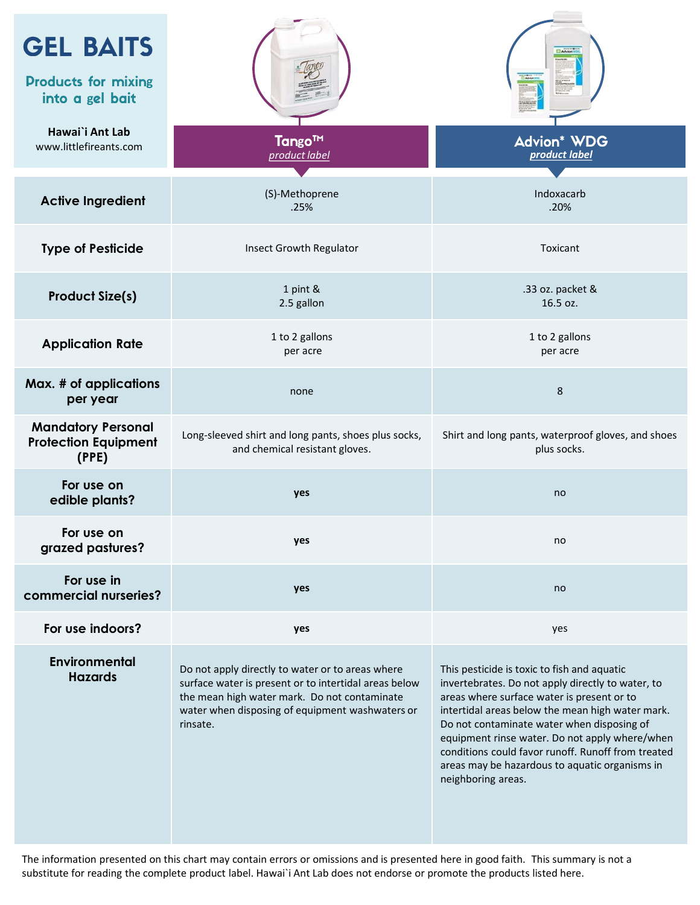| <b>GEL BAITS</b><br><b>Products for mixing</b><br>into a gel bait |                                                                                                                                                                                                                          |                                                                                                                                                                                                                                                                                                                                                                                                                                  |
|-------------------------------------------------------------------|--------------------------------------------------------------------------------------------------------------------------------------------------------------------------------------------------------------------------|----------------------------------------------------------------------------------------------------------------------------------------------------------------------------------------------------------------------------------------------------------------------------------------------------------------------------------------------------------------------------------------------------------------------------------|
| Hawai`i Ant Lab<br>www.littlefireants.com                         | Tango <sup>™</sup><br>product label                                                                                                                                                                                      | <b>Advion* WDG</b><br>product label                                                                                                                                                                                                                                                                                                                                                                                              |
| <b>Active Ingredient</b>                                          | (S)-Methoprene<br>.25%                                                                                                                                                                                                   | Indoxacarb<br>.20%                                                                                                                                                                                                                                                                                                                                                                                                               |
| <b>Type of Pesticide</b>                                          | <b>Insect Growth Regulator</b>                                                                                                                                                                                           | Toxicant                                                                                                                                                                                                                                                                                                                                                                                                                         |
| <b>Product Size(s)</b>                                            | 1 pint &<br>2.5 gallon                                                                                                                                                                                                   | .33 oz. packet &<br>16.5 oz.                                                                                                                                                                                                                                                                                                                                                                                                     |
| <b>Application Rate</b>                                           | 1 to 2 gallons<br>per acre                                                                                                                                                                                               | 1 to 2 gallons<br>per acre                                                                                                                                                                                                                                                                                                                                                                                                       |
| Max. # of applications<br>per year                                | none                                                                                                                                                                                                                     | 8                                                                                                                                                                                                                                                                                                                                                                                                                                |
| <b>Mandatory Personal</b><br><b>Protection Equipment</b><br>(PPE) | Long-sleeved shirt and long pants, shoes plus socks,<br>and chemical resistant gloves.                                                                                                                                   | Shirt and long pants, waterproof gloves, and shoes<br>plus socks.                                                                                                                                                                                                                                                                                                                                                                |
| For use on<br>edible plants?                                      | yes                                                                                                                                                                                                                      | no                                                                                                                                                                                                                                                                                                                                                                                                                               |
| For use on<br>grazed pastures?                                    | yes                                                                                                                                                                                                                      | no                                                                                                                                                                                                                                                                                                                                                                                                                               |
| For use in<br>commercial nurseries?                               | yes                                                                                                                                                                                                                      | no                                                                                                                                                                                                                                                                                                                                                                                                                               |
| For use indoors?                                                  | yes                                                                                                                                                                                                                      | yes                                                                                                                                                                                                                                                                                                                                                                                                                              |
| <b>Environmental</b><br><b>Hazards</b>                            | Do not apply directly to water or to areas where<br>surface water is present or to intertidal areas below<br>the mean high water mark. Do not contaminate<br>water when disposing of equipment washwaters or<br>rinsate. | This pesticide is toxic to fish and aquatic<br>invertebrates. Do not apply directly to water, to<br>areas where surface water is present or to<br>intertidal areas below the mean high water mark.<br>Do not contaminate water when disposing of<br>equipment rinse water. Do not apply where/when<br>conditions could favor runoff. Runoff from treated<br>areas may be hazardous to aquatic organisms in<br>neighboring areas. |

The information presented on this chart may contain errors or omissions and is presented here in good faith. This summary is not a substitute for reading the complete product label. Hawai`i Ant Lab does not endorse or promote the products listed here.